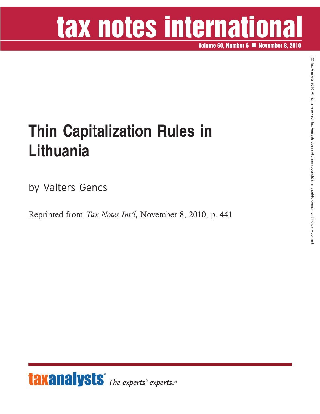# tax notes international

**Volume 60, Number 6 November 8, 2010**

### **Thin Capitalization Rules in Lithuania**

by Valters Gencs

Reprinted from *Tax Notes Int'l*, November 8, 2010, p. 441

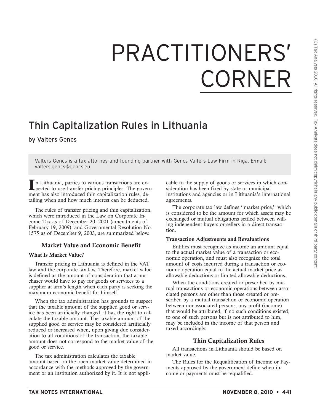## PRACTITIONERS' CORNER

### Thin Capitalization Rules in Lithuania

#### by Valters Gencs

Valters Gencs is a tax attorney and founding partner with Gencs Valters Law Firm in Riga. E-mail: valters.gencs@gencs.eu

**I**n Lithuania, parties to various transactions are ex-pected to use transfer pricing principles. The government has also introduced thin capitalization rules, detailing when and how much interest can be deducted.

The rules of transfer pricing and thin capitalization, which were introduced in the Law on Corporate Income Tax as of December 20, 2001 (amendments of February 19, 2009), and Governmental Resolution No. 1575 as of December 9, 2003, are summarized below.

#### **Market Value and Economic Benefit**

#### **What Is Market Value?**

Transfer pricing in Lithuania is defined in the VAT law and the corporate tax law. Therefore, market value is defined as the amount of consideration that a purchaser would have to pay for goods or services to a supplier at arm's length when each party is seeking the maximum economic benefit for himself.

When the tax administration has grounds to suspect that the taxable amount of the supplied good or service has been artificially changed, it has the right to calculate the taxable amount. The taxable amount of the supplied good or service may be considered artificially reduced or increased when, upon giving due consideration to all conditions of the transaction, the taxable amount does not correspond to the market value of the good or service.

The tax administration calculates the taxable amount based on the open market value determined in accordance with the methods approved by the government or an institution authorized by it. It is not appli-

cable to the supply of goods or services in which consideration has been fixed by state or municipal institutions and agencies or in Lithuania's international agreements.

The corporate tax law defines ''market price,'' which is considered to be the amount for which assets may be exchanged or mutual obligations settled between willing independent buyers or sellers in a direct transaction.

#### **Transaction Adjustments and Revaluations**

Entities must recognize as income an amount equal to the actual market value of a transaction or economic operation, and must also recognize the total amount of costs incurred during a transaction or economic operation equal to the actual market price as allowable deductions or limited allowable deductions.

When the conditions created or prescribed by mutual transactions or economic operations between associated persons are other than those created or prescribed by a mutual transaction or economic operation between nonassociated persons, any profit (income) that would be attributed, if no such conditions existed, to one of such persons but is not attributed to him, may be included in the income of that person and taxed accordingly.

#### **Thin Capitalization Rules**

All transactions in Lithuania should be based on market value.

The Rules for the Requalification of Income or Payments approved by the government define when income or payments must be requalified.